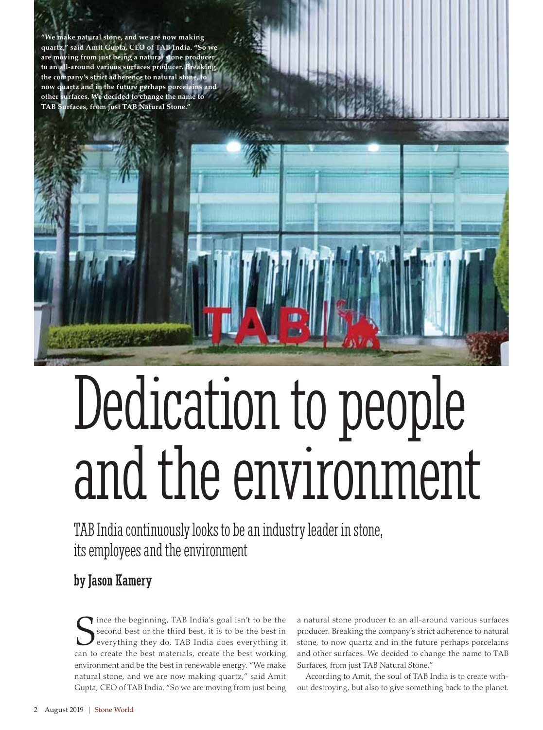make natural stone, and we are now making **quartz," said Amit Gupta, CEO of TAB India. "So we are moving from just being a natural stone producer**  to an all-around various surfaces producer. **B** the company's strict adherence to natural sto **now quartz and in the future perhaps porcelains and other surfaces. We decided to change the name to TAB Surfaces, from just TAB Natural Stone."**

# Dedication to people and the environment

TAB India continuously looks to be an industry leader in stone, its employees and the environment

# by Jason Kamery

Since the beginning, TAB India's goal isn't to be the second best or the third best, it is to be the best in everything they do. TAB India does everything it can to create the best materials, create the best working ince the beginning, TAB India's goal isn't to be the second best or the third best, it is to be the best in everything they do. TAB India does everything it environment and be the best in renewable energy. "We make natural stone, and we are now making quartz," said Amit Gupta, CEO of TAB India. "So we are moving from just being

a natural stone producer to an all-around various surfaces producer. Breaking the company's strict adherence to natural stone, to now quartz and in the future perhaps porcelains and other surfaces. We decided to change the name to TAB Surfaces, from just TAB Natural Stone."

According to Amit, the soul of TAB India is to create without destroying, but also to give something back to the planet.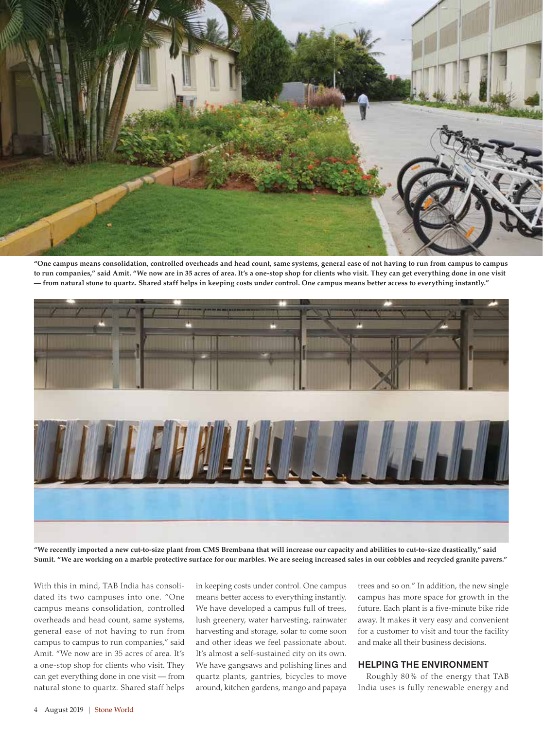

**"One campus means consolidation, controlled overheads and head count, same systems, general ease of not having to run from campus to campus to run companies," said Amit. "We now are in 35 acres of area. It's a one-stop shop for clients who visit. They can get everything done in one visit — from natural stone to quartz. Shared staff helps in keeping costs under control. One campus means better access to everything instantly."**



**"We recently imported a new cut-to-size plant from CMS Brembana that will increase our capacity and abilities to cut-to-size drastically," said Sumit. "We are working on a marble protective surface for our marbles. We are seeing increased sales in our cobbles and recycled granite pavers."**

With this in mind, TAB India has consolidated its two campuses into one. "One campus means consolidation, controlled overheads and head count, same systems, general ease of not having to run from campus to campus to run companies," said Amit. "We now are in 35 acres of area. It's a one-stop shop for clients who visit. They can get everything done in one visit — from natural stone to quartz. Shared staff helps

in keeping costs under control. One campus means better access to everything instantly. We have developed a campus full of trees, lush greenery, water harvesting, rainwater harvesting and storage, solar to come soon and other ideas we feel passionate about. It's almost a self-sustained city on its own. We have gangsaws and polishing lines and quartz plants, gantries, bicycles to move around, kitchen gardens, mango and papaya

trees and so on." In addition, the new single campus has more space for growth in the future. Each plant is a five-minute bike ride away. It makes it very easy and convenient for a customer to visit and tour the facility and make all their business decisions.

## HELPING THE ENVIRONMENT

Roughly 80% of the energy that TAB India uses is fully renewable energy and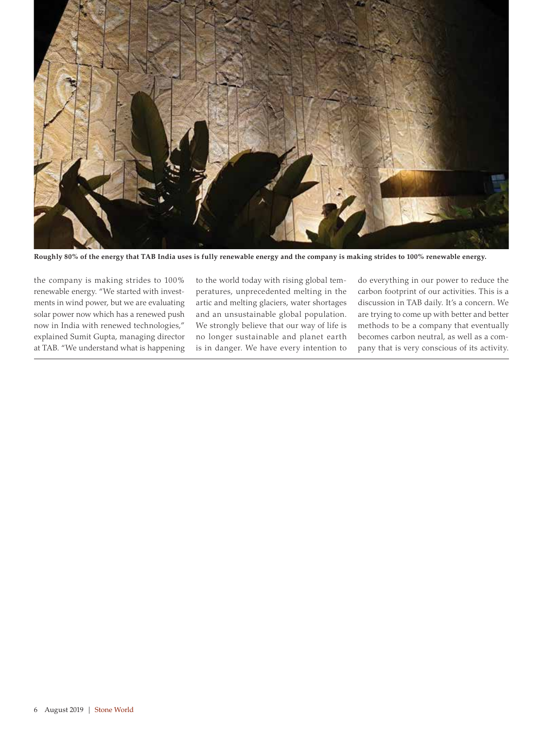

**Roughly 80% of the energy that TAB India uses is fully renewable energy and the company is making strides to 100% renewable energy.**

the company is making strides to 100% renewable energy. "We started with investments in wind power, but we are evaluating solar power now which has a renewed push now in India with renewed technologies," explained Sumit Gupta, managing director at TAB. "We understand what is happening to the world today with rising global temperatures, unprecedented melting in the artic and melting glaciers, water shortages and an unsustainable global population. We strongly believe that our way of life is no longer sustainable and planet earth is in danger. We have every intention to do everything in our power to reduce the carbon footprint of our activities. This is a discussion in TAB daily. It's a concern. We are trying to come up with better and better methods to be a company that eventually becomes carbon neutral, as well as a company that is very conscious of its activity.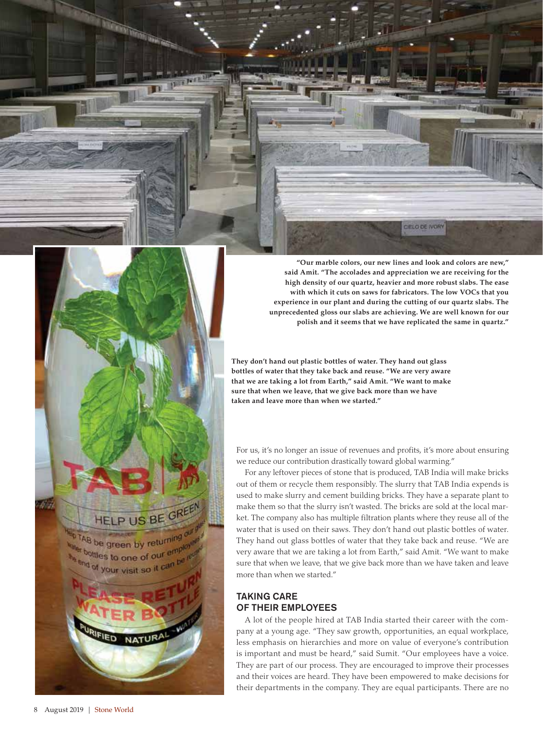

**"Our marble colors, our new lines and look and colors are new," said Amit. "The accolades and appreciation we are receiving for the high density of our quartz, heavier and more robust slabs. The ease with which it cuts on saws for fabricators. The low VOCs that you experience in our plant and during the cutting of our quartz slabs. The unprecedented gloss our slabs are achieving. We are well known for our polish and it seems that we have replicated the same in quartz."** 

**They don't hand out plastic bottles of water. They hand out glass bottles of water that they take back and reuse. "We are very aware that we are taking a lot from Earth," said Amit. "We want to make sure that when we leave, that we give back more than we have taken and leave more than when we started."** 

For us, it's no longer an issue of revenues and profits, it's more about ensuring we reduce our contribution drastically toward global warming."

For any leftover pieces of stone that is produced, TAB India will make bricks out of them or recycle them responsibly. The slurry that TAB India expends is used to make slurry and cement building bricks. They have a separate plant to make them so that the slurry isn't wasted. The bricks are sold at the local market. The company also has multiple filtration plants where they reuse all of the water that is used on their saws. They don't hand out plastic bottles of water. They hand out glass bottles of water that they take back and reuse. "We are very aware that we are taking a lot from Earth," said Amit. "We want to make sure that when we leave, that we give back more than we have taken and leave more than when we started."

### TAKING CARE OF THEIR EMPLOYEES

A lot of the people hired at TAB India started their career with the company at a young age. "They saw growth, opportunities, an equal workplace, less emphasis on hierarchies and more on value of everyone's contribution is important and must be heard," said Sumit. "Our employees have a voice. They are part of our process. They are encouraged to improve their processes and their voices are heard. They have been empowered to make decisions for their departments in the company. They are equal participants. There are no

HELP US BE GREET

**NATUR** 

<sup>0</sup>TAB be green by returning t bottles to one of our employ and of your visit so it can be reli

FIED<sup>.</sup>